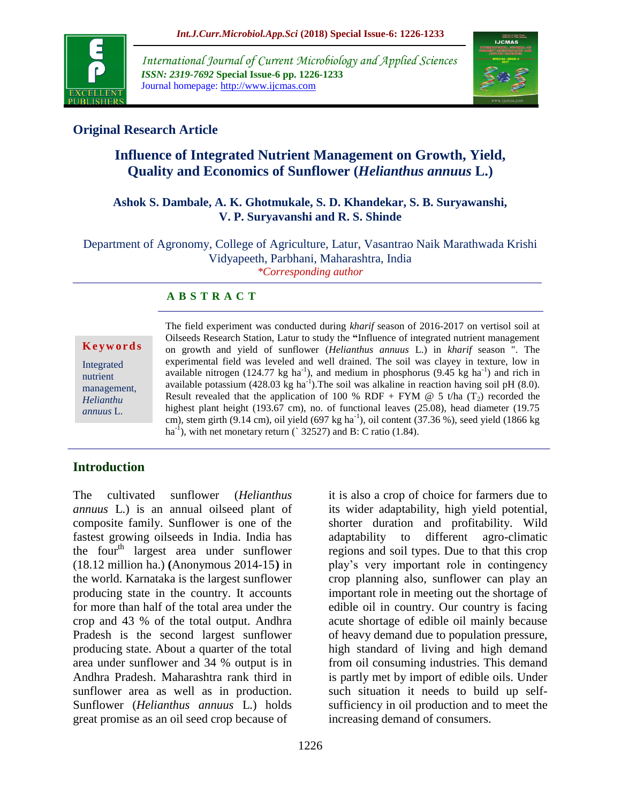

*International Journal of Current Microbiology and Applied Sciences ISSN: 2319-7692* **Special Issue-6 pp. 1226-1233** Journal homepage: http://www.ijcmas.com



# **Original Research Article**

# **Influence of Integrated Nutrient Management on Growth, Yield, Quality and Economics of Sunflower (***Helianthus annuus* **L.)**

#### **Ashok S. Dambale, A. K. Ghotmukale, S. D. Khandekar, S. B. Suryawanshi, V. P. Suryavanshi and R. S. Shinde**

Department of Agronomy, College of Agriculture, Latur, Vasantrao Naik Marathwada Krishi Vidyapeeth, Parbhani, Maharashtra, India *\*Corresponding author*

## **A B S T R A C T**

**K e y w o r d s**

Integrated nutrient management, *Helianthu annuus* L.

The field experiment was conducted during *kharif* season of 2016-2017 on vertisol soil at Oilseeds Research Station, Latur to study the **"**Influence of integrated nutrient management on growth and yield of sunflower (*Helianthus annuus* L.) in *kharif* season ". The experimental field was leveled and well drained. The soil was clayey in texture, low in available nitrogen (124.77 kg ha<sup>-1</sup>), and medium in phosphorus (9.45 kg ha<sup>-1</sup>) and rich in available potassium (428.03 kg ha<sup>-1</sup>). The soil was alkaline in reaction having soil pH (8.0). Result revealed that the application of 100 % RDF + FYM  $@$  5 t/ha (T<sub>2</sub>) recorded the highest plant height (193.67 cm), no. of functional leaves (25.08), head diameter (19.75 cm), stem girth (9.14 cm), oil yield (697 kg ha<sup>-1</sup>), oil content (37.36 %), seed yield (1866 kg ha<sup>-1</sup>), with net monetary return ( $\hat{ }$  32527) and B: C ratio (1.84).

# **Introduction**

The cultivated sunflower (*Helianthus annuus* L.) is an annual oilseed plant of composite family. Sunflower is one of the fastest growing oilseeds in India. India has the four<sup>th</sup> largest area under sunflower (18.12 million ha.) **(**Anonymous 2014-15**)** in the world. Karnataka is the largest sunflower producing state in the country. It accounts for more than half of the total area under the crop and 43 % of the total output. Andhra Pradesh is the second largest sunflower producing state. About a quarter of the total area under sunflower and 34 % output is in Andhra Pradesh. Maharashtra rank third in sunflower area as well as in production. Sunflower (*Helianthus annuus* L.) holds great promise as an oil seed crop because of

it is also a crop of choice for farmers due to its wider adaptability, high yield potential, shorter duration and profitability. Wild adaptability to different agro-climatic regions and soil types. Due to that this crop play's very important role in contingency crop planning also, sunflower can play an important role in meeting out the shortage of edible oil in country. Our country is facing acute shortage of edible oil mainly because of heavy demand due to population pressure, high standard of living and high demand from oil consuming industries. This demand is partly met by import of edible oils. Under such situation it needs to build up selfsufficiency in oil production and to meet the increasing demand of consumers.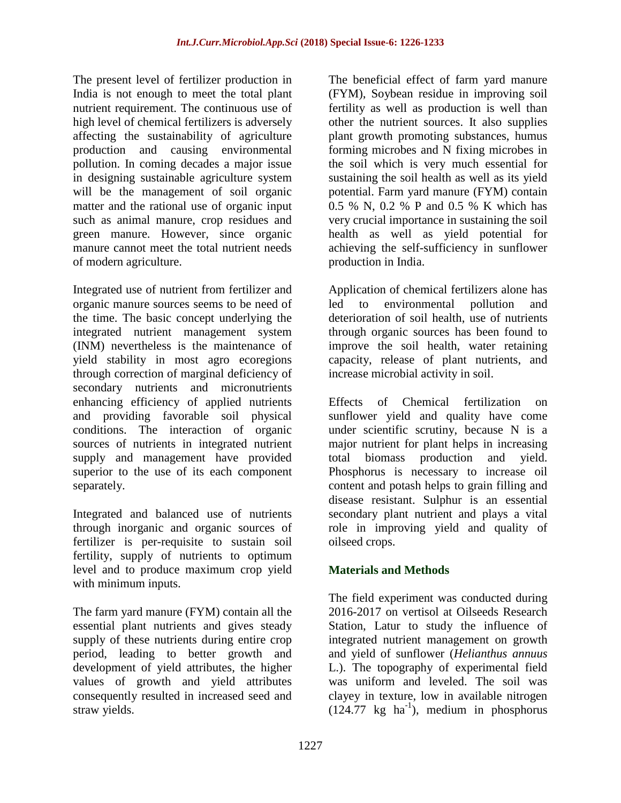The present level of fertilizer production in India is not enough to meet the total plant nutrient requirement. The continuous use of high level of chemical fertilizers is adversely affecting the sustainability of agriculture production and causing environmental pollution. In coming decades a major issue in designing sustainable agriculture system will be the management of soil organic matter and the rational use of organic input such as animal manure, crop residues and green manure. However, since organic manure cannot meet the total nutrient needs of modern agriculture.

Integrated use of nutrient from fertilizer and organic manure sources seems to be need of the time. The basic concept underlying the integrated nutrient management system (INM) nevertheless is the maintenance of yield stability in most agro ecoregions through correction of marginal deficiency of secondary nutrients and micronutrients enhancing efficiency of applied nutrients and providing favorable soil physical conditions. The interaction of organic sources of nutrients in integrated nutrient supply and management have provided superior to the use of its each component separately.

Integrated and balanced use of nutrients through inorganic and organic sources of fertilizer is per-requisite to sustain soil fertility, supply of nutrients to optimum level and to produce maximum crop yield with minimum inputs.

The farm yard manure (FYM) contain all the essential plant nutrients and gives steady supply of these nutrients during entire crop period, leading to better growth and development of yield attributes, the higher values of growth and yield attributes consequently resulted in increased seed and straw yields.

The beneficial effect of farm yard manure (FYM), Soybean residue in improving soil fertility as well as production is well than other the nutrient sources. It also supplies plant growth promoting substances, humus forming microbes and N fixing microbes in the soil which is very much essential for sustaining the soil health as well as its yield potential. Farm yard manure (FYM) contain 0.5 % N, 0.2 % P and 0.5 % K which has very crucial importance in sustaining the soil health as well as yield potential for achieving the self-sufficiency in sunflower production in India.

Application of chemical fertilizers alone has led to environmental pollution and deterioration of soil health, use of nutrients through organic sources has been found to improve the soil health, water retaining capacity, release of plant nutrients, and increase microbial activity in soil.

Effects of Chemical fertilization on sunflower yield and quality have come under scientific scrutiny, because N is a major nutrient for plant helps in increasing total biomass production and yield. Phosphorus is necessary to increase oil content and potash helps to grain filling and disease resistant. Sulphur is an essential secondary plant nutrient and plays a vital role in improving yield and quality of oilseed crops.

# **Materials and Methods**

The field experiment was conducted during 2016-2017 on vertisol at Oilseeds Research Station, Latur to study the influence of integrated nutrient management on growth and yield of sunflower (*Helianthus annuus* L.). The topography of experimental field was uniform and leveled. The soil was clayey in texture, low in available nitrogen  $(124.77 \text{ kg} \text{ ha}^{-1})$ , medium in phosphorus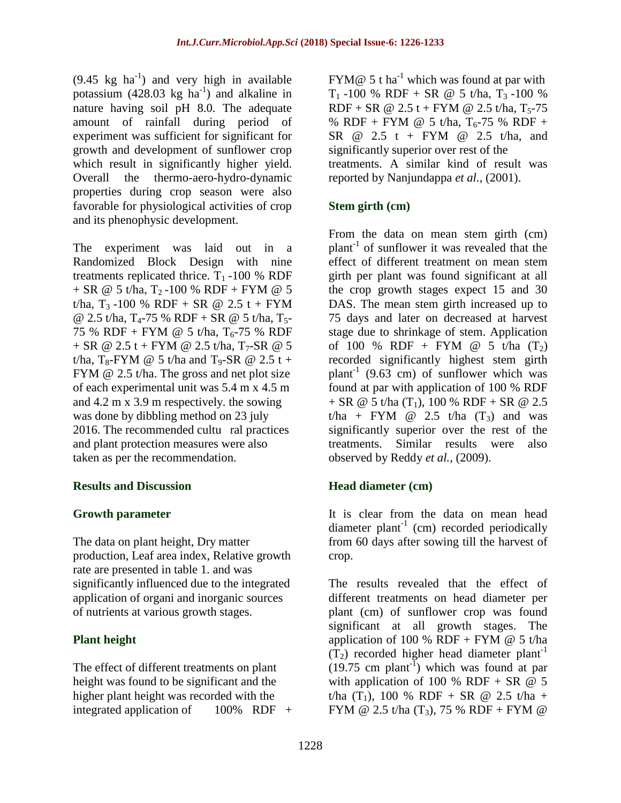$(9.45 \text{ kg} \text{ ha}^{-1})$  and very high in available potassium  $(428.03 \text{ kg ha}^{-1})$  and alkaline in nature having soil pH 8.0. The adequate amount of rainfall during period of experiment was sufficient for significant for growth and development of sunflower crop which result in significantly higher yield. Overall the thermo-aero-hydro-dynamic properties during crop season were also favorable for physiological activities of crop and its phenophysic development.

The experiment was laid out in a Randomized Block Design with nine treatments replicated thrice.  $T_1 - 100 %$  RDF  $+$  SR @ 5 t/ha, T<sub>2</sub>-100 % RDF + FYM @ 5 t/ha, T<sub>3</sub> -100 % RDF + SR @ 2.5 t + FYM @ 2.5 t/ha,  $T_4$ -75 % RDF + SR @ 5 t/ha,  $T_5$ -75 % RDF + FYM @ 5 t/ha,  $T_6$ -75 % RDF + SR @ 2.5 t + FYM @ 2.5 t/ha, T<sub>7</sub>-SR @ 5 t/ha, T<sub>8</sub>-FYM @ 5 t/ha and T<sub>9</sub>-SR @ 2.5 t + FYM @ 2.5 t/ha. The gross and net plot size of each experimental unit was 5.4 m x 4.5 m and 4.2 m x 3.9 m respectively. the sowing was done by dibbling method on 23 july 2016. The recommended cultu ral practices and plant protection measures were also taken as per the recommendation.

### **Results and Discussion**

### **Growth parameter**

The data on plant height, Dry matter production, Leaf area index, Relative growth rate are presented in table 1. and was significantly influenced due to the integrated application of organi and inorganic sources of nutrients at various growth stages.

# **Plant height**

The effect of different treatments on plant height was found to be significant and the higher plant height was recorded with the integrated application of  $100\%$  RDF +

FYM $@$  5 t ha<sup>-1</sup> which was found at par with  $T_1$  -100 % RDF + SR @ 5 t/ha,  $T_3$  -100 %  $RDF + SR \n\textcircled{2.5} t + FYM \n\textcircled{2.5} t/ha$ , T<sub>5</sub>-75 % RDF + FYM @ 5 t/ha,  $T_6$ -75 % RDF + SR @ 2.5 t + FYM @ 2.5 t/ha, and significantly superior over rest of the treatments. A similar kind of result was reported by Nanjundappa *et al.,* (2001).

## **Stem girth (cm)**

From the data on mean stem girth (cm) plant-1 of sunflower it was revealed that the effect of different treatment on mean stem girth per plant was found significant at all the crop growth stages expect 15 and 30 DAS. The mean stem girth increased up to 75 days and later on decreased at harvest stage due to shrinkage of stem. Application of 100 % RDF + FYM @ 5 t/ha  $(T_2)$ recorded significantly highest stem girth plant<sup>-1</sup> (9.63 cm) of sunflower which was found at par with application of 100 % RDF  $+$  SR @ 5 t/ha (T<sub>1</sub>), 100 % RDF + SR @ 2.5 t/ha + FYM  $\omega$  2.5 t/ha  $(T_3)$  and was significantly superior over the rest of the treatments. Similar results were also observed by Reddy *et al.,* (2009).

# **Head diameter (cm)**

It is clear from the data on mean head diameter plant<sup>-1</sup> (cm) recorded periodically from 60 days after sowing till the harvest of crop.

The results revealed that the effect of different treatments on head diameter per plant (cm) of sunflower crop was found significant at all growth stages. The application of 100 % RDF + FYM  $@$  5 t/ha  $(T_2)$  recorded higher head diameter plant<sup>-1</sup>  $(19.75 \text{ cm plant}^{-1})$  which was found at par with application of 100 % RDF + SR  $@$  5 t/ha  $(T_1)$ , 100 % RDF + SR @ 2.5 t/ha + FYM @ 2.5 t/ha  $(T_3)$ , 75 % RDF + FYM @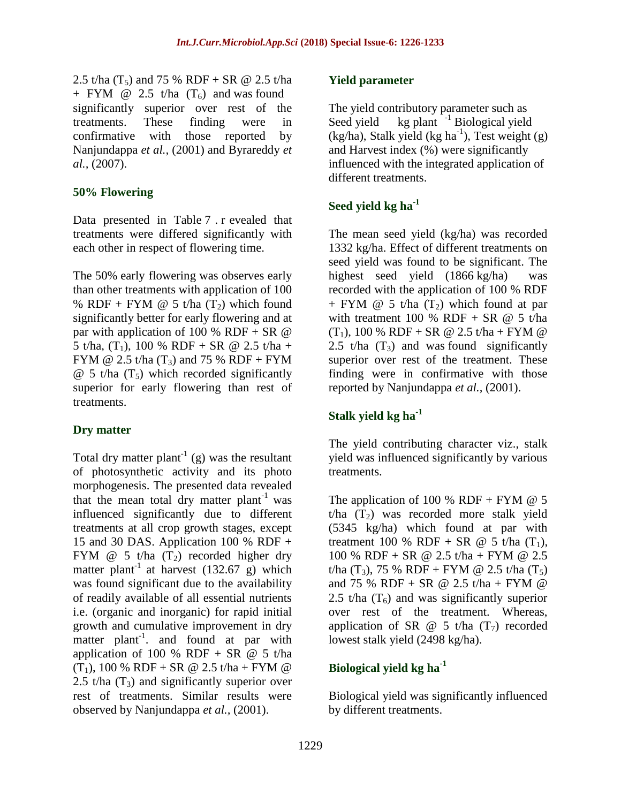2.5 t/ha  $(T_5)$  and 75 % RDF + SR @ 2.5 t/ha + FYM  $\omega$  2.5 t/ha  $(T_6)$  and was found significantly superior over rest of the treatments. These finding were in confirmative with those reported by Nanjundappa *et al.,* (2001) and Byrareddy *et al.,* (2007).

### **50% Flowering**

Data presented in Table 7 . r evealed that treatments were differed significantly with each other in respect of flowering time.

The 50% early flowering was observes early than other treatments with application of 100 % RDF + FYM  $\omega$  5 t/ha (T<sub>2</sub>) which found significantly better for early flowering and at par with application of 100 % RDF + SR  $\omega$ 5 t/ha,  $(T_1)$ , 100 % RDF + SR @ 2.5 t/ha + FYM @ 2.5 t/ha  $(T_3)$  and 75 % RDF + FYM  $\omega$  5 t/ha (T<sub>5</sub>) which recorded significantly superior for early flowering than rest of treatments.

# **Dry matter**

Total dry matter plant<sup>-1</sup> (g) was the resultant of photosynthetic activity and its photo morphogenesis. The presented data revealed that the mean total dry matter  $plant^{-1}$  was influenced significantly due to different treatments at all crop growth stages, except 15 and 30 DAS. Application 100 % RDF + FYM  $\omega$  5 t/ha (T<sub>2</sub>) recorded higher dry matter plant<sup>-1</sup> at harvest (132.67 g) which was found significant due to the availability of readily available of all essential nutrients i.e. (organic and inorganic) for rapid initial growth and cumulative improvement in dry matter plant<sup>-1</sup>, and found at par with application of 100 % RDF + SR  $@$  5 t/ha  $(T_1)$ , 100 % RDF + SR @ 2.5 t/ha + FYM @ 2.5 t/ha  $(T_3)$  and significantly superior over rest of treatments. Similar results were observed by Nanjundappa *et al.,* (2001).

### **Yield parameter**

The yield contributory parameter such as Seed yield kg plant  $^{-1}$  Biological yield  $(kg/ha)$ , Stalk yield  $(kg ha<sup>-1</sup>)$ , Test weight  $(g)$ and Harvest index (%) were significantly influenced with the integrated application of different treatments.

## **Seed yield kg ha-1**

The mean seed yield (kg/ha) was recorded 1332 kg/ha. Effect of different treatments on seed yield was found to be significant. The highest seed yield (1866 kg/ha) was recorded with the application of 100 % RDF + FYM  $\omega$  5 t/ha  $(T_2)$  which found at par with treatment 100 % RDF + SR  $@$  5 t/ha  $(T_1)$ , 100 % RDF + SR @ 2.5 t/ha + FYM @ 2.5 t/ha  $(T_3)$  and was found significantly superior over rest of the treatment. These finding were in confirmative with those reported by Nanjundappa *et al.,* (2001).

# **Stalk yield kg ha-1**

The yield contributing character viz., stalk yield was influenced significantly by various treatments.

The application of 100 % RDF + FYM  $@$  5  $t/ha$  (T<sub>2</sub>) was recorded more stalk yield (5345 kg/ha) which found at par with treatment 100 % RDF + SR  $\omega$  5 t/ha (T<sub>1</sub>), 100 % RDF + SR @ 2.5 t/ha + FYM @ 2.5 t/ha  $(T_3)$ , 75 % RDF + FYM @ 2.5 t/ha  $(T_5)$ and 75 % RDF + SR @ 2.5 t/ha + FYM @ 2.5 t/ha  $(T_6)$  and was significantly superior over rest of the treatment. Whereas, application of SR  $\omega$  5 t/ha (T<sub>7</sub>) recorded lowest stalk yield (2498 kg/ha).

# **Biological yield kg ha-1**

Biological yield was significantly influenced by different treatments.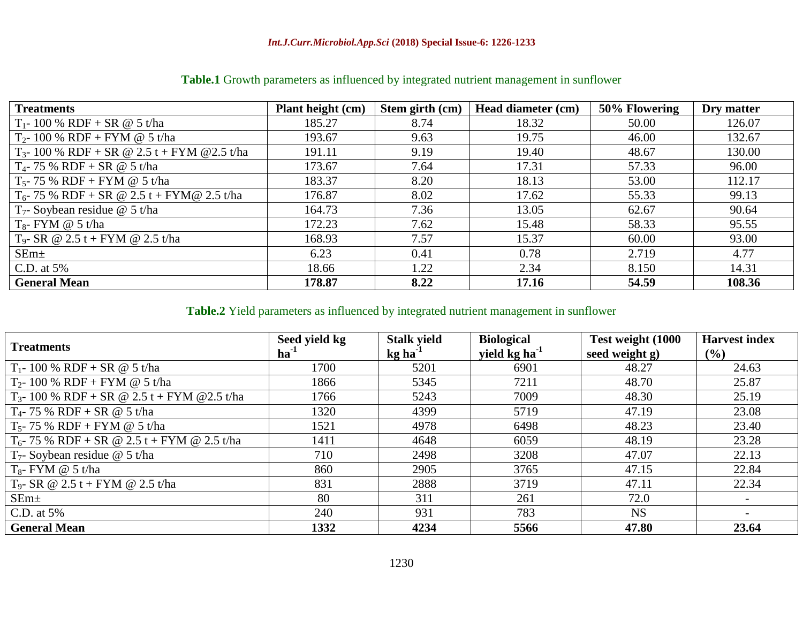| <b>Treatments</b>                                 | Plant height (cm) | Stem girth (cm) | Head diameter (cm) | 50% Flowering | Dry matter |
|---------------------------------------------------|-------------------|-----------------|--------------------|---------------|------------|
| $T_1 - 100 % RDF + SR @ 5 t/ha$                   | 185.27            | 8.74            | 18.32              | 50.00         | 126.07     |
| $T_2$ - 100 % RDF + FYM @ 5 t/ha                  | 193.67            | 9.63            | 19.75              | 46.00         | 132.67     |
| $T_{3}$ - 100 % RDF + SR @ 2.5 t + FYM @ 2.5 t/ha | 191.11            | 9.19            | 19.40              | 48.67         | 130.00     |
| $T_4$ - 75 % RDF + SR @ 5 t/ha                    | 173.67            | 7.64            | 17.31              | 57.33         | 96.00      |
| $T_5$ - 75 % RDF + FYM @ 5 t/ha                   | 183.37            | 8.20            | 18.13              | 53.00         | 112.17     |
| $T_6$ - 75 % RDF + SR @ 2.5 t + FYM@ 2.5 t/ha     | 176.87            | 8.02            | 17.62              | 55.33         | 99.13      |
| $T_7$ - Soybean residue @ 5 t/ha                  | 164.73            | 7.36            | 13.05              | 62.67         | 90.64      |
| $T_8$ - FYM @ 5 t/ha                              | 172.23            | 7.62            | 15.48              | 58.33         | 95.55      |
| $T_9$ - SR @ 2.5 t + FYM @ 2.5 t/ha               | 168.93            | 7.57            | 15.37              | 60.00         | 93.00      |
| SEm <sub>±</sub>                                  | 6.23              | 0.41            | 0.78               | 2.719         | 4.77       |
| C.D. at $5\%$                                     | 18.66             | 1.22            | 2.34               | 8.150         | 14.31      |
| <b>General Mean</b>                               | 178.87            | 8.22            | 17.16              | 54.59         | 108.36     |

# **Table.1** Growth parameters as influenced by integrated nutrient management in sunflower

# **Table.2** Yield parameters as influenced by integrated nutrient management in sunflower

| <b>Treatments</b>                                 | Seed yield kg<br>$ha^{-1}$ | <b>Stalk yield</b><br>$kg$ ha <sup>-1</sup> | <b>Biological</b><br>yield kg ha <sup>-1</sup> | Test weight (1000<br>seed weight g) | <b>Harvest index</b><br>$($ %) |
|---------------------------------------------------|----------------------------|---------------------------------------------|------------------------------------------------|-------------------------------------|--------------------------------|
| $T_1$ - 100 % RDF + SR @ 5 t/ha                   | 1700                       | 5201                                        | 6901                                           | 48.27                               | 24.63                          |
| $T_2$ - 100 % RDF + FYM @ 5 t/ha                  | 1866                       | 5345                                        | 7211                                           | 48.70                               | 25.87                          |
| $T_{3}$ - 100 % RDF + SR @ 2.5 t + FYM @ 2.5 t/ha | 1766                       | 5243                                        | 7009                                           | 48.30                               | 25.19                          |
| $T_4$ - 75 % RDF + SR @ 5 t/ha                    | 1320                       | 4399                                        | 5719                                           | 47.19                               | 23.08                          |
| $T_5$ - 75 % RDF + FYM @ 5 t/ha                   | 1521                       | 4978                                        | 6498                                           | 48.23                               | 23.40                          |
| $T_6$ - 75 % RDF + SR @ 2.5 t + FYM @ 2.5 t/ha    | 1411                       | 4648                                        | 6059                                           | 48.19                               | 23.28                          |
| $T_7$ - Soybean residue @ 5 t/ha                  | 710                        | 2498                                        | 3208                                           | 47.07                               | 22.13                          |
| $T_{8}$ - FYM @ 5 t/ha                            | 860                        | 2905                                        | 3765                                           | 47.15                               | 22.84                          |
| $T_9$ - SR @ 2.5 t + FYM @ 2.5 t/ha               | 831                        | 2888                                        | 3719                                           | 47.11                               | 22.34                          |
| $SEm+$                                            | 80                         | 311                                         | 261                                            | 72.0                                |                                |
| C.D. at $5%$                                      | 240                        | 931                                         | 783                                            | <b>NS</b>                           |                                |
| <b>General Mean</b>                               | 1332                       | 4234                                        | 5566                                           | 47.80                               | 23.64                          |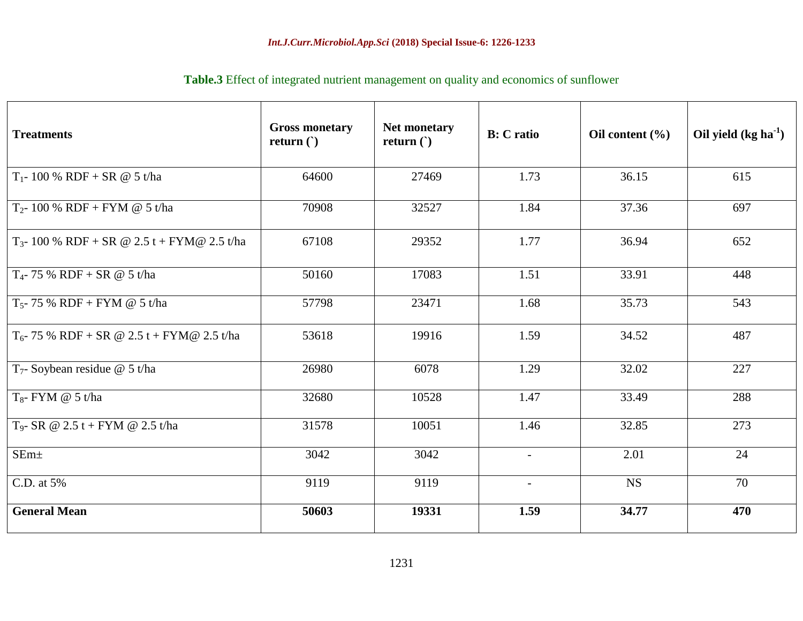| <b>Table.3</b> Effect of integrated nutrient management on quality and economics of sunflower |  |  |  |
|-----------------------------------------------------------------------------------------------|--|--|--|
|-----------------------------------------------------------------------------------------------|--|--|--|

| <b>Treatments</b>                                | <b>Gross monetary</b><br>return $($ ) | Net monetary<br>return $()$ | <b>B</b> : C ratio | Oil content $(\% )$ | Oil yield $(kg ha-1)$ |
|--------------------------------------------------|---------------------------------------|-----------------------------|--------------------|---------------------|-----------------------|
| $T_1$ - 100 % RDF + SR @ 5 t/ha                  | 64600                                 | 27469                       | 1.73               | 36.15               | 615                   |
| $T_2$ - 100 % RDF + FYM @ 5 t/ha                 | 70908                                 | 32527                       | 1.84               | 37.36               | 697                   |
| $T_{3}$ - 100 % RDF + SR @ 2.5 t + FYM@ 2.5 t/ha | 67108                                 | 29352                       | 1.77               | 36.94               | 652                   |
| $T_4$ - 75 % RDF + SR @ 5 t/ha                   | 50160                                 | 17083                       | 1.51               | 33.91               | 448                   |
| $T_5$ - 75 % RDF + FYM @ 5 t/ha                  | 57798                                 | 23471                       | 1.68               | 35.73               | 543                   |
| $T_6$ - 75 % RDF + SR @ 2.5 t + FYM@ 2.5 t/ha    | 53618                                 | 19916                       | 1.59               | 34.52               | 487                   |
| $T_7$ - Soybean residue @ 5 t/ha                 | 26980                                 | 6078                        | 1.29               | 32.02               | 227                   |
| $T_8$ - FYM @ 5 t/ha                             | 32680                                 | 10528                       | 1.47               | 33.49               | 288                   |
| $T_9$ - SR @ 2.5 t + FYM @ 2.5 t/ha              | 31578                                 | 10051                       | 1.46               | 32.85               | 273                   |
| SEm <sub>±</sub>                                 | 3042                                  | 3042                        | $\blacksquare$     | 2.01                | 24                    |
| C.D. at 5%                                       | 9119                                  | 9119                        | $\blacksquare$     | <b>NS</b>           | 70                    |
| <b>General Mean</b>                              | 50603                                 | 19331                       | 1.59               | 34.77               | 470                   |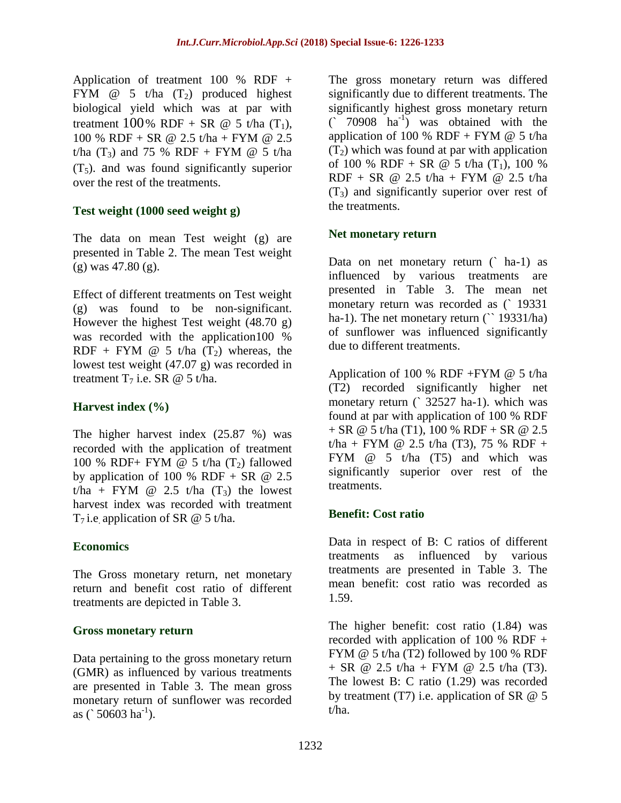Application of treatment 100 % RDF  $+$ FYM  $\omega$  5 t/ha (T<sub>2</sub>) produced highest biological yield which was at par with treatment  $100\%$  RDF + SR @ 5 t/ha  $(T_1)$ , 100 % RDF + SR @ 2.5 t/ha + FYM @ 2.5 t/ha  $(T_3)$  and 75 % RDF + FYM @ 5 t/ha  $(T_5)$ . and was found significantly superior over the rest of the treatments.

## **Test weight (1000 seed weight g)**

The data on mean Test weight (g) are presented in Table 2. The mean Test weight (g) was 47.80 (g).

Effect of different treatments on Test weight (g) was found to be non-significant. However the highest Test weight (48.70 g) was recorded with the application100 % RDF + FYM  $\omega$  5 t/ha (T<sub>2</sub>) whereas, the lowest test weight (47.07 g) was recorded in treatment  $T_7$  i.e. SR @ 5 t/ha.

## **Harvest index (%)**

The higher harvest index (25.87 %) was recorded with the application of treatment 100 % RDF+ FYM  $\omega$  5 t/ha (T<sub>2</sub>) fallowed by application of 100 % RDF + SR  $\omega$  2.5 t/ha + FYM  $\omega$  2.5 t/ha  $(T_3)$  the lowest harvest index was recorded with treatment T<sub>7</sub> i.e. application of SR  $@$  5 t/ha.

### **Economics**

The Gross monetary return, net monetary return and benefit cost ratio of different treatments are depicted in Table 3.

### **Gross monetary return**

Data pertaining to the gross monetary return (GMR) as influenced by various treatments are presented in Table 3. The mean gross monetary return of sunflower was recorded as  $(50603 \text{ ha}^{-1})$ .

The gross monetary return was differed significantly due to different treatments. The significantly highest gross monetary return  $($  70908  $\mathrm{ha}^{-1}$ ) was obtained with the application of 100 % RDF + FYM  $@$  5 t/ha  $(T_2)$  which was found at par with application of 100 % RDF + SR @ 5 t/ha  $(T_1)$ , 100 %  $RDF + SR \n\textcircled{2.5} t/ha + FYM \n\textcircled{2.5} t/ha$  $(T_3)$  and significantly superior over rest of the treatments.

#### **Net monetary return**

Data on net monetary return (` ha-1) as influenced by various treatments are presented in Table 3. The mean net monetary return was recorded as (` 19331 ha-1). The net monetary return (` 19331/ha) of sunflower was influenced significantly due to different treatments.

Application of 100 % RDF +FYM @ 5 t/ha (T2) recorded significantly higher net monetary return (` 32527 ha-1). which was found at par with application of 100 % RDF + SR @ 5 t/ha (T1), 100 % RDF + SR @ 2.5  $t/ha$  + FYM @ 2.5 t/ha (T3), 75 % RDF + FYM @ 5 t/ha (T5) and which was significantly superior over rest of the treatments.

### **Benefit: Cost ratio**

Data in respect of B: C ratios of different treatments as influenced by various treatments are presented in Table 3. The mean benefit: cost ratio was recorded as 1.59.

The higher benefit: cost ratio (1.84) was recorded with application of 100 % RDF  $+$ FYM @ 5 t/ha (T2) followed by 100 % RDF  $+$  SR @ 2.5 t/ha + FYM @ 2.5 t/ha (T3). The lowest B: C ratio (1.29) was recorded by treatment (T7) i.e. application of SR  $@$  5 t/ha.